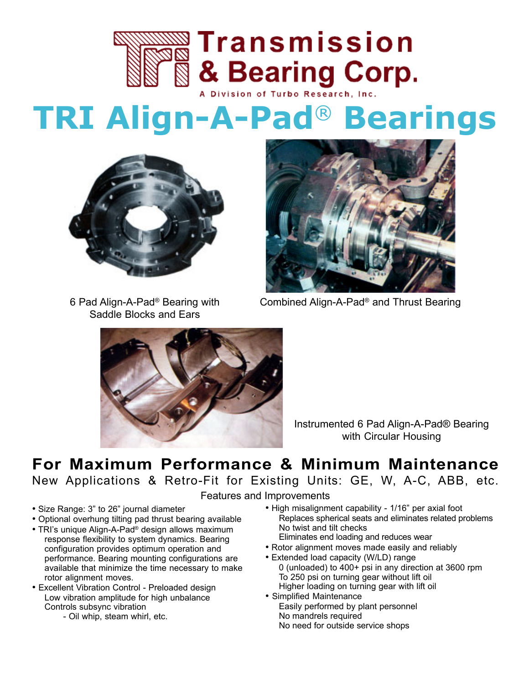

# **TRI Align-A-Pad**® **Bearings**



6 Pad Align-A-Pad® Bearing with Saddle Blocks and Ears



Combined Align-A-Pad® and Thrust Bearing



Instrumented 6 Pad Align-A-Pad® Bearing with Circular Housing

### **For Maximum Performance & Minimum Maintenance**

New Applications & Retro-Fit for Existing Units: GE, W, A-C, ABB, etc.

Features and Improvements

- Size Range: 3" to 26" journal diameter
- Optional overhung tilting pad thrust bearing available
- TRI's unique Align-A-Pad<sup>®</sup> design allows maximum response flexibility to system dynamics. Bearing configuration provides optimum operation and performance. Bearing mounting configurations are available that minimize the time necessary to make rotor alignment moves.
- Excellent Vibration Control Preloaded design Low vibration amplitude for high unbalance Controls subsync vibration
	- Oil whip, steam whirl, etc.
- High misalignment capability 1/16" per axial foot Replaces spherical seats and eliminates related problems No twist and tilt checks Eliminates end loading and reduces wear
- Rotor alignment moves made easily and reliably
- Extended load capacity (W/LD) range 0 (unloaded) to 400+ psi in any direction at 3600 rpm To 250 psi on turning gear without lift oil Higher loading on turning gear with lift oil
- Simplified Maintenance Easily performed by plant personnel No mandrels required No need for outside service shops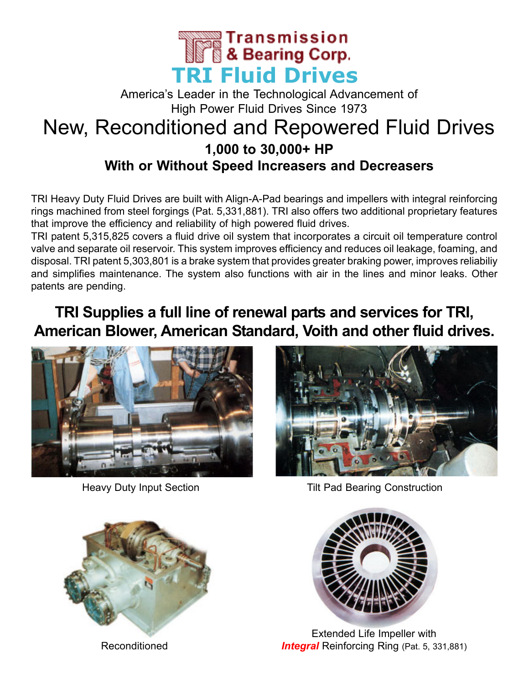

### America's Leader in the Technological Advancement of High Power Fluid Drives Since 1973 New, Reconditioned and Repowered Fluid Drives **1,000 to 30,000+ HP With or Without Speed Increasers and Decreasers**

TRI Heavy Duty Fluid Drives are built with Align-A-Pad bearings and impellers with integral reinforcing rings machined from steel forgings (Pat. 5,331,881). TRI also offers two additional proprietary features that improve the efficiency and reliability of high powered fluid drives.

TRI patent 5,315,825 covers a fluid drive oil system that incorporates a circuit oil temperature control valve and separate oil reservoir. This system improves efficiency and reduces oil leakage, foaming, and disposal. TRI patent 5,303,801 is a brake system that provides greater braking power, improves reliabiliy and simplifies maintenance. The system also functions with air in the lines and minor leaks. Other patents are pending.

### **TRI Supplies a full line of renewal parts and services for TRI, American Blower, American Standard, Voith and other fluid drives.**





Heavy Duty Input Section **Tilt Pad Bearing Construction** 



Reconditioned



Extended Life Impeller with **Integral** Reinforcing Ring (Pat. 5, 331,881)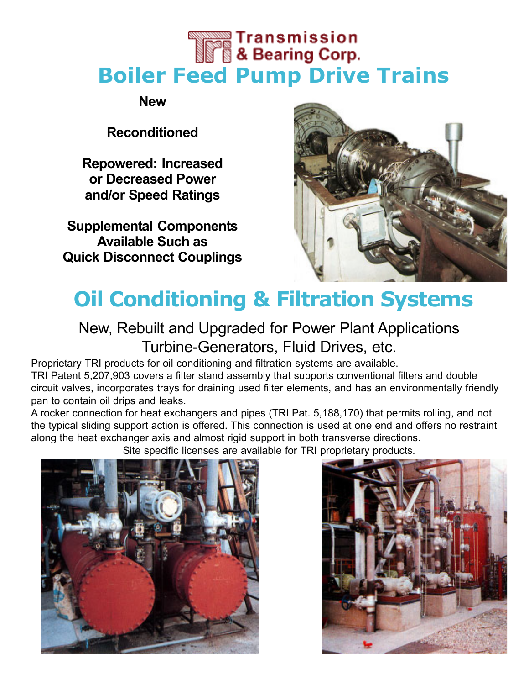# **The Second Transmission**<br>**The Searing Corp. Boiler Feed Pump Drive Trains**

**New**

#### **Reconditioned**

**Repowered: Increased or Decreased Power and/or Speed Ratings**

**Supplemental Components Available Such as Quick Disconnect Couplings**



### **Oil Conditioning & Filtration Systems**

### New, Rebuilt and Upgraded for Power Plant Applications Turbine-Generators, Fluid Drives, etc.

Proprietary TRI products for oil conditioning and filtration systems are available.

TRI Patent 5,207,903 covers a filter stand assembly that supports conventional filters and double circuit valves, incorporates trays for draining used filter elements, and has an environmentally friendly pan to contain oil drips and leaks.

A rocker connection for heat exchangers and pipes (TRI Pat. 5,188,170) that permits rolling, and not the typical sliding support action is offered. This connection is used at one end and offers no restraint along the heat exchanger axis and almost rigid support in both transverse directions.

Site specific licenses are available for TRI proprietary products.